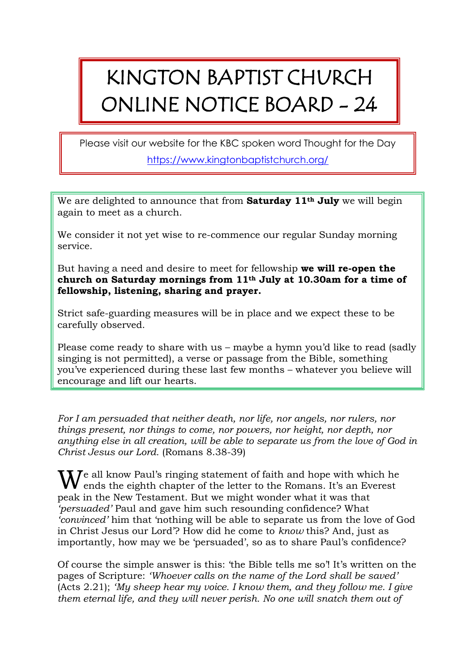## KINGTON BAPTIST CHURCH ONLINE NOTICE BOARD - 24

Please visit our website for the KBC spoken word Thought for the Day <https://www.kingtonbaptistchurch.org/>

We are delighted to announce that from **Saturday 11th July** we will begin again to meet as a church.

We consider it not yet wise to re-commence our regular Sunday morning service.

But having a need and desire to meet for fellowship **we will re-open the church on Saturday mornings from 11th July at 10.30am for a time of fellowship, listening, sharing and prayer.**

Strict safe-guarding measures will be in place and we expect these to be carefully observed.

Please come ready to share with us – maybe a hymn you'd like to read (sadly singing is not permitted), a verse or passage from the Bible, something you've experienced during these last few months – whatever you believe will encourage and lift our hearts.

*For I am persuaded that neither death, nor life, nor angels, nor rulers, nor things present, nor things to come, nor powers, nor height, nor depth, nor anything else in all creation, will be able to separate us from the love of God in Christ Jesus our Lord.* (Romans 8.38-39)

 $\mathbf{W}^\text{e}$  all know Paul's ringing statement of faith and hope with which he ends the eighth chapter of the letter to the Romans. It's an Everest ends the eighth chapter of the letter to the Romans. It's an Everest peak in the New Testament. But we might wonder what it was that *'persuaded'* Paul and gave him such resounding confidence? What *'convinced'* him that 'nothing will be able to separate us from the love of God in Christ Jesus our Lord'? How did he come to *know* this? And, just as importantly, how may we be 'persuaded', so as to share Paul's confidence?

Of course the simple answer is this: 'the Bible tells me so'! It's written on the pages of Scripture: *'Whoever calls on the name of the Lord shall be saved'*  (Acts 2.21); *'My sheep hear my voice. I know them, and they follow me. I give them eternal life, and they will never perish. No one will snatch them out of*